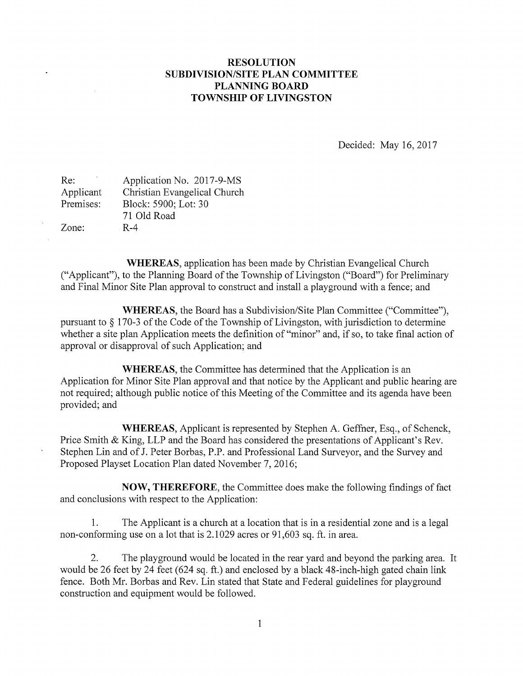## RESOLUTION SUBDIVISION/SITE PLAN COMMITTEE PLANNING BOARD TOWNSHIP OF LIVINGSTON

Decided: May 16, 2017

| Re:       | Application No. 2017-9-MS    |
|-----------|------------------------------|
| Applicant | Christian Evangelical Church |
| Premises: | Block: 5900; Lot: 30         |
|           | 71 Old Road                  |
| Zone:     | $R-4$                        |

WHEREAS, application has been made by Christian Evangelical Church ("Applicant"), to the Planning Board of the Township of Livingston ("Board") for Preliminary and Final Minor Site Plan approval to construct and install a playground with a fence; and

WHEREAS, the Board has a Subdivision/Site Plan Committee ("Committee"), pursuant to § 170-3 of the Code of the Township of Livingston, with jurisdiction to determine whether <sup>a</sup> site plan Application meets the definition of "minor" and, if so, to take final action of approval or disapproval of such Application; and

WHEREAS, the Committee has determined that the Application is an Application for Minor Site Plan approval and that notice by the Applicant and public hearing are not required; although public notice of this Meeting of the Committee and its agenda have been provided; and

WHEREAS, Applicant is represented by Stephen A. Geffner, Esq., of Schenck, Price Smith & King, LLP and the Board has considered the presentations of Applicant's Rev. Stephen Lin and of J. Peter Borbas, P.P. and Professional Land Surveyor, and the Survey and Proposed Playset Location Plan dated November 7, 2016;

NOW, THEREFORE, the Committee does make the following findings of fact and conclusions with respect to the Application:

1. The Applicant is a church at a location that is in a residential zone and is a legal non-conforming use on a lot that is 2.1029 acres or 91,603 sq. ft. in area.

2. The playground would be located in the rear yard and beyond the parking area. It would be 26 feet by 24 feet (624 sq. ft.) and enclosed by a black 48-inch-high gated chain link fence. Both Mr. Borbas and Rev. Lin stated that State and Federal guidelines for playground construction and equipment would be followed.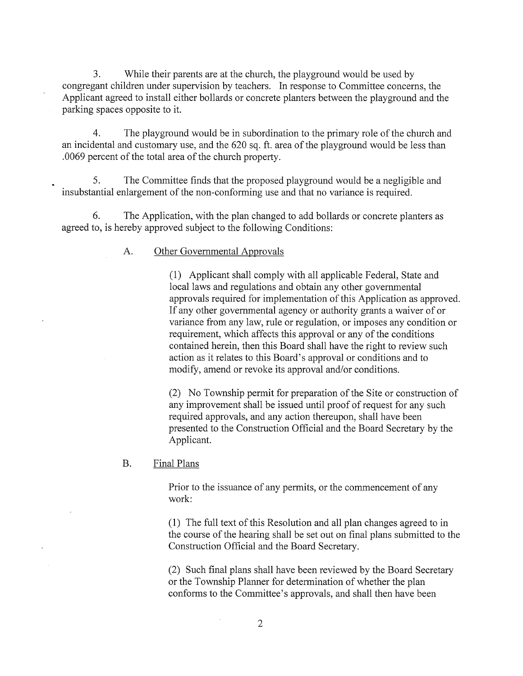3. While their parents are at the church, the playground would be used by congregant children under supervision by teachers. In response to Committee concerns, the Applicant agreed to install either bollards or concrete planters between the playground and the parking spaces opposite to it.

4. The playground would be in subordination to the primary role of the church and an incidental and customary use, and the 620 sq. ft. area of the playground would be less than .0069 percent of the total area of the church property.

5. The Committee finds that the proposed playground would be a negligible and insubstantial enlargement of the non-conforming use and that no variance is required.

6. The Application, with the plan changed to add bollards or concrete planters as agreed to, is hereby approved subject to the following Conditions:

## A. Other Governmental Approvals

(1) Applicant shall comply with all applicable Federal, State and local laws and regulations and obtain any other governmental approvals required for implementation of this Application as approved. If any other governmental agency or authority grants <sup>a</sup> waiver of or variance from any law, rule or regulation, or imposes any condition or requirement, which affects this approval or any of the conditions contained herein, then this Board shall have the right to review such action as it relates to this Board's approval or conditions and to modify, amend or revoke its approval and/or conditions.

(2) No Township permit for preparation of the Site or construction of any improvement shall be issued until proof of request for any such required approvals, and any action thereupon, shall have been presented to the Construction Official and the Board Secretary by the Applicant.

## B. Final Plans

Prior to the issuance of any permits, or the commencement of any work:

(1) The full text of this Resolution and all plan changes agreed to in the course of the hearing shall be set out on final plans submitted to the Construction Official and the Board Secretary.

(2) Such final plans shall have been reviewed by the Board Secretary or the Township Planner for determination of whether the plan conforms to the Committee's approvals, and shall then have been

 $\bar{L}$